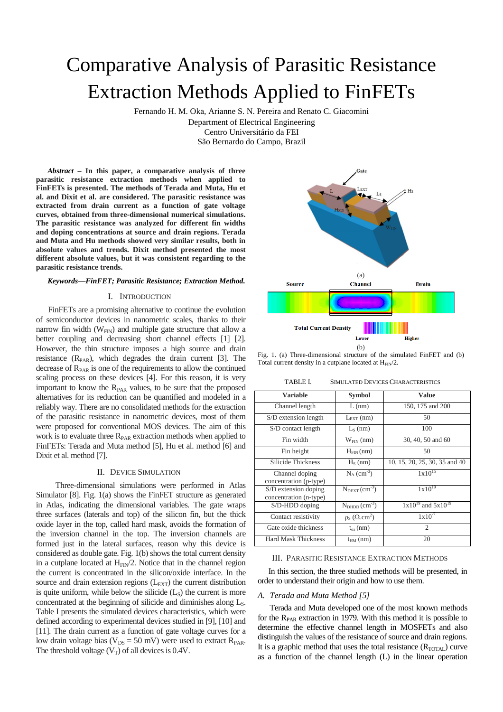# Comparative Analysis of Parasitic Resistance Extraction Methods Applied to FinFETs

Fernando H. M. Oka, Arianne S. N. Pereira and Renato C. Giacomini Department of Electrical Engineering

> Centro Universitário da FEI São Bernardo do Campo, Brazil

 *Abstract* **– In this paper, a comparative analysis of three parasitic resistance extraction methods when applied to FinFETs is presented. The methods of Terada and Muta, Hu et al. and Dixit et al. are considered. The parasitic resistance was extracted from drain current as a function of gate voltage curves, obtained from three-dimensional numerical simulations. The parasitic resistance was analyzed for different fin widths and doping concentrations at source and drain regions. Terada and Muta and Hu methods showed very similar results, both in absolute values and trends. Dixit method presented the most different absolute values, but it was consistent regarding to the parasitic resistance trends.**

## *Keywords—FinFET; Parasitic Resistance; Extraction Method.*

## I. INTRODUCTION

FinFETs are a promising alternative to continue the evolution of semiconductor devices in nanometric scales, thanks to their narrow fin width  $(W_{FIN})$  and multiple gate structure that allow a better coupling and decreasing short channel effects [1] [2]. However, the thin structure imposes a high source and drain resistance  $(R<sub>PAR</sub>)$ , which degrades the drain current [3]. The decrease of  $R_{PAR}$  is one of the requirements to allow the continued scaling process on these devices [4]. For this reason, it is very important to know the R<sub>PAR</sub> values, to be sure that the proposed alternatives for its reduction can be quantified and modeled in a reliably way. There are no consolidated methods for the extraction of the parasitic resistance in nanometric devices, most of them were proposed for conventional MOS devices. The aim of this work is to evaluate three  $R_{PAR}$  extraction methods when applied to FinFETs: Terada and Muta method [5], Hu et al. method [6] and Dixit et al. method [7].

## II. DEVICE SIMULATION

 Three-dimensional simulations were performed in Atlas Simulator [8]. Fig. 1(a) shows the FinFET structure as generated in Atlas, indicating the dimensional variables. The gate wraps three surfaces (laterals and top) of the silicon fin, but the thick oxide layer in the top, called hard mask, avoids the formation of the inversion channel in the top. The inversion channels are formed just in the lateral surfaces, reason why this device is considered as double gate. Fig. 1(b) shows the total current density in a cutplane located at  $H_{FN}/2$ . Notice that in the channel region the current is concentrated in the silicon/oxide interface. In the source and drain extension regions  $(L_{\text{EXT}})$  the current distribution is quite uniform, while below the silicide  $(L<sub>S</sub>)$  the current is more concentrated at the beginning of silicide and diminishes along  $L<sub>s</sub>$ . Table I presents the simulated devices characteristics, which were defined according to experimental devices studied in [9], [10] and [11]. The drain current as a function of gate voltage curves for a low drain voltage bias ( $V_{DS} = 50$  mV) were used to extract  $R_{PAR}$ . The threshold voltage  $(V_T)$  of all devices is 0.4V.



Fig. 1. (a) Three-dimensional structure of the simulated FinFET and (b) Total current density in a cutplane located at  $H_{FIN}/2$ .

TABLE I. SIMULATED DEVICES CHARACTERISTICS

| Variable                                       | <b>Symbol</b>               | Value                         |
|------------------------------------------------|-----------------------------|-------------------------------|
| Channel length                                 | $L$ (nm)                    | 150, 175 and 200              |
| S/D extension length                           | $L_{\text{EXT}}$ (nm)       | 50                            |
| S/D contact length                             | $L_s$ (nm)                  | 100                           |
| Fin width                                      | $W_{FIN}$ (nm)              | 30, 40, 50 and 60             |
| Fin height                                     | $H_{FIN}(nm)$               | 50                            |
| Silicide Thickness                             | $HS$ (nm)                   | 10, 15, 20, 25, 30, 35 and 40 |
| Channel doping<br>concentration (p-type)       | $N_A$ (cm <sup>-3</sup> )   | $1x10^{15}$                   |
| S/D extension doping<br>concentration (n-type) | $N_{\text{DEXT}}(cm^{-3})$  | $1x10^{19}$                   |
| S/D-HDD doping                                 | $NDHDD$ (cm <sup>-3</sup> ) | $1x10^{19}$ and $5x10^{19}$   |
| Contact resistivity                            | $\rho_s$ ( $\Omega.cm^2$ )  | $1 \times 10^{-7}$            |
| Gate oxide thickness                           | $t_{ox}(nm)$                | $\overline{c}$                |
| <b>Hard Mask Thickness</b>                     | $t_{HM}$ (nm)               | 20                            |

## III. PARASITIC RESISTANCE EXTRACTION METHODS

 In this section, the three studied methods will be presented, in order to understand their origin and how to use them.

# *A. Terada and Muta Method [5]*

Terada and Muta developed one of the most known methods for the  $R_{PAR}$  extraction in 1979. With this method it is possible to determine the effective channel length in MOSFETs and also distinguish the values of the resistance of source and drain regions. It is a graphic method that uses the total resistance  $(R_{\text{TOTAL}})$  curve as a function of the channel length (L) in the linear operation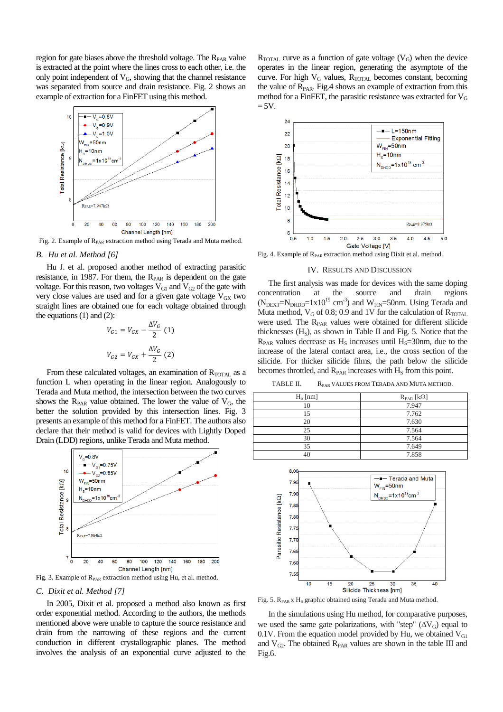region for gate biases above the threshold voltage. The  $R_{PAR}$  value is extracted at the point where the lines cross to each other, i.e. the only point independent of  $V_G$ , showing that the channel resistance was separated from source and drain resistance. Fig. 2 shows an example of extraction for a FinFET using this method.



Fig. 2. Example of  $R_{PAR}$  extraction method using Terada and Muta method.

# *B. Hu et al. Method [6]*

 Hu J. et al. proposed another method of extracting parasitic resistance, in 1987. For them, the  $R_{PAR}$  is dependent on the gate voltage. For this reason, two voltages  $V_{\text{G1}}$  and  $V_{\text{G2}}$  of the gate with very close values are used and for a given gate voltage  $V_{GX}$  two straight lines are obtained one for each voltage obtained through the equations  $(1)$  and  $(2)$ :

$$
V_{G1} = V_{GX} - \frac{\Delta V_G}{2} (1)
$$
  

$$
V_{G2} = V_{GX} + \frac{\Delta V_G}{2} (2)
$$

From these calculated voltages, an examination of  $R_{\text{TOTAL}}$  as a function L when operating in the linear region. Analogously to Terada and Muta method, the intersection between the two curves shows the  $R_{PAR}$  value obtained. The lower the value of  $V_G$ , the better the solution provided by this intersection lines. Fig. 3 presents an example of this method for a FinFET. The authors also declare that their method is valid for devices with Lightly Doped Drain (LDD) regions, unlike Terada and Muta method.



## *C. Dixit et al. Method [7]*

 In 2005, Dixit et al. proposed a method also known as first order exponential method. According to the authors, the methods mentioned above were unable to capture the source resistance and drain from the narrowing of these regions and the current conduction in different crystallographic planes. The method involves the analysis of an exponential curve adjusted to the

 $R_{\text{TOTAL}}$  curve as a function of gate voltage ( $V_G$ ) when the device operates in the linear region, generating the asymptote of the curve. For high  $V_G$  values,  $R_{\text{TOTAL}}$  becomes constant, becoming the value of  $R<sub>PAR</sub>$ . Fig.4 shows an example of extraction from this method for a FinFET, the parasitic resistance was extracted for  $V_G$  $= 5V.$ 



Fig. 4. Example of R<sub>PAR</sub> extraction method using Dixit et al. method.

#### IV. RESULTS AND DISCUSSION

 The first analysis was made for devices with the same doping concentration at the source and drain regions  $(N<sub>DEXT</sub>=N<sub>DHDD</sub>=1x10<sup>19</sup> cm<sup>-3</sup>)$  and  $W<sub>FIN</sub>=50nm$ . Using Terada and Muta method,  $V_G$  of 0.8; 0.9 and 1V for the calculation of  $R_{\text{TOTAL}}$ were used. The  $R_{PAR}$  values were obtained for different silicide thicknesses  $(H<sub>S</sub>)$ , as shown in Table II and Fig. 5. Notice that the  $R_{PAR}$  values decrease as  $H_S$  increases until  $H_S=30$ nm, due to the increase of the lateral contact area, i.e., the cross section of the silicide. For thicker silicide films, the path below the silicide becomes throttled, and  $R_{PAR}$  increases with  $H_S$  from this point.

TABLE II. R<sub>PAR</sub> VALUES FROM TERADA AND MUTA METHOD.

| $H_S$ [nm] | $R_{PAR}$ [ $k\Omega$ ] |
|------------|-------------------------|
| 10         | 7.947                   |
| 15         | 7.762                   |
| 20         | 7.630                   |
| 25         | 7.564                   |
| 30         | 7.564                   |
| 35         | 7.649                   |
|            | 7.858                   |



Fig. 5. R<sub>PAR</sub> x H<sub>s</sub> graphic obtained using Terada and Muta method.

 In the simulations using Hu method, for comparative purposes, we used the same gate polarizations, with "step"  $(\Delta V_G)$  equal to 0.1V. From the equation model provided by Hu, we obtained  $V_{\text{GI}}$ and  $V_{G2}$ . The obtained  $R_{PAR}$  values are shown in the table III and Fig.6.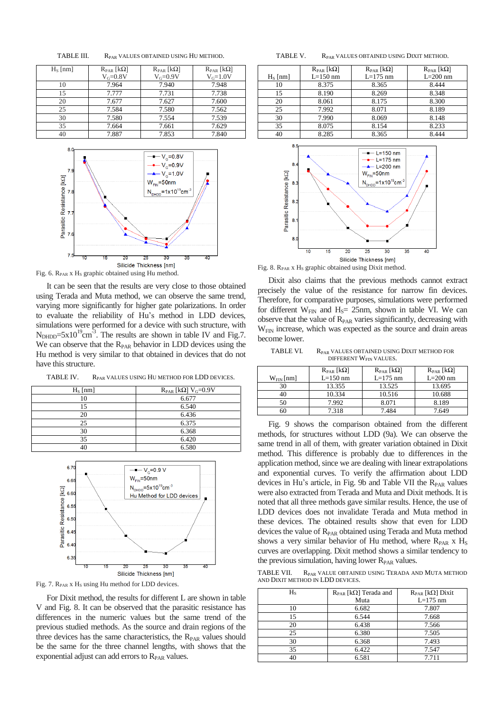| $H_s$ [nm] | $R_{PAR}$ [k $\Omega$ ] | $R_{PAR}$ [k $\Omega$ ] | $R_{PAR}$ [ $k\Omega$ ] |
|------------|-------------------------|-------------------------|-------------------------|
|            | $V_G=0.8V$              | $V_G=0.9V$              | $V_G=1.0V$              |
| 10         | 7.964                   | 7.940                   | 7.948                   |
| 15         | 7.777                   | 7.731                   | 7.738                   |
| 20         | 7.677                   | 7.627                   | 7.600                   |
| 25         | 7.584                   | 7.580                   | 7.562                   |
| 30         | 7.580                   | 7.554                   | 7.539                   |
| 35         | 7.664                   | 7.661                   | 7.629                   |
| 40         | 7.887                   | 7.853                   | 7.840                   |

TABLE III. R<sub>PAR</sub> VALUES OBTAINED USING HU METHOD.



 It can be seen that the results are very close to those obtained using Terada and Muta method, we can observe the same trend, varying more significantly for higher gate polarizations. In order to evaluate the reliability of Hu's method in LDD devices, simulations were performed for a device with such structure, with  $N_{\text{DHDD}} = 5 \times 10^{19} \text{cm}^{-3}$ . The results are shown in table IV and Fig.7. We can observe that the  $R_{PAR}$  behavior in LDD devices using the Hu method is very similar to that obtained in devices that do not have this structure.

TABLE IV. R<sub>PAR</sub> VALUES USING HU METHOD FOR LDD DEVICES.

| $H_S$ [nm] | $R_{PAR}$ [k $\Omega$ ] V <sub>G</sub> =0.9V |
|------------|----------------------------------------------|
| 10         | 6.677                                        |
| ۱۲,        | 6.540                                        |
| 20         | 6.436                                        |
| 25         | 6.375                                        |
| 30         | 6.368                                        |
| 35         | 6.420                                        |
|            | 6.580                                        |



Fig. 7.  $R_{PAR}$  x  $H_S$  using Hu method for LDD devices.

 For Dixit method, the results for different L are shown in table V and Fig. 8. It can be observed that the parasitic resistance has differences in the numeric values but the same trend of the previous studied methods. As the source and drain regions of the three devices has the same characteristics, the  $R_{PAR}$  values should be the same for the three channel lengths, with shows that the exponential adjust can add errors to  $R<sub>PAR</sub>$  values.

TABLE V. R<sub>PAR</sub> VALUES OBTAINED USING DIXIT METHOD.

|            | $R_{PAR}$ [k $\Omega$ ] | $R_{PAR}$ [k $\Omega$ ] | $R_{PAR}$ [k $\Omega$ ] |
|------------|-------------------------|-------------------------|-------------------------|
| $H_S$ [nm] | $L=150$ nm              | $L=175$ nm              | $L=200$ nm              |
| 10         | 8.375                   | 8.365                   | 8.444                   |
| 15         | 8.190                   | 8.269                   | 8.348                   |
| 20         | 8.061                   | 8.175                   | 8.300                   |
| 25         | 7.992                   | 8.071                   | 8.189                   |
| 30         | 7.990                   | 8.069                   | 8.148                   |
| 35         | 8.075                   | 8.154                   | 8.233                   |
| 40         | 8.285                   | 8.365                   | 8.444                   |





 Dixit also claims that the previous methods cannot extract precisely the value of the resistance for narrow fin devices. Therefore, for comparative purposes, simulations were performed for different  $W_{FIN}$  and  $H_S = 25$ nm, shown in table VI. We can observe that the value of  $R<sub>PAR</sub>$  varies significantly, decreasing with  $W_{\text{FIN}}$  increase, which was expected as the source and drain areas become lower.

TABLE VI. R<sub>PAR</sub> VALUES OBTAINED USING DIXIT METHOD FOR DIFFERENT W<sub>FIN</sub> VALUES.

| $W_{FIN}[nm]$ | $R_{\text{PAR}}$ [k $\Omega$ ]<br>$L=150$ nm | $R_{\text{PAR}}$ [k $\Omega$ ]<br>$L=175$ nm | $R_{PAR}$ [ $k\Omega$ ]<br>$L=200$ nm |
|---------------|----------------------------------------------|----------------------------------------------|---------------------------------------|
| 30            | 13.355                                       | 13.525                                       | 13.695                                |
| 40            | 10.334                                       | 10.516                                       | 10.688                                |
| 50            | 7.992                                        | 8.071                                        | 8.189                                 |
| 60            | 7.318                                        | 7.484                                        | 7.649                                 |

 Fig. 9 shows the comparison obtained from the different methods, for structures without LDD (9a). We can observe the same trend in all of them, with greater variation obtained in Dixit method. This difference is probably due to differences in the application method, since we are dealing with linear extrapolations and exponential curves. To verify the affirmation about LDD devices in Hu's article, in Fig. 9b and Table VII the  $R_{PAR}$  values were also extracted from Terada and Muta and Dixit methods. It is noted that all three methods gave similar results. Hence, the use of LDD devices does not invalidate Terada and Muta method in these devices. The obtained results show that even for LDD devices the value of R<sub>PAR</sub> obtained using Terada and Muta method shows a very similar behavior of Hu method, where R<sub>PAR</sub> x H<sub>S</sub> curves are overlapping. Dixit method shows a similar tendency to the previous simulation, having lower  $R_{PAR}$  values.

TABLE VII. R<sub>PAR</sub> VALUE OBTAINED USING TERADA AND MUTA METHOD AND DIXIT METHOD IN LDD DEVICES.

| $H_s$ | $R_{PAR}$ [k $\Omega$ ] Terada and<br>Muta | $R_{PAR}$ [k $\Omega$ ] Dixit<br>$L=175$ nm |
|-------|--------------------------------------------|---------------------------------------------|
| 10    | 6.682                                      | 7.807                                       |
| 15    | 6.544                                      | 7.668                                       |
| 20    | 6.438                                      | 7.566                                       |
| 25    | 6.380                                      | 7.505                                       |
| 30    | 6.368                                      | 7.493                                       |
| 35    | 6.422                                      | 7.547                                       |
| 40    | 6.581                                      | 7.711                                       |